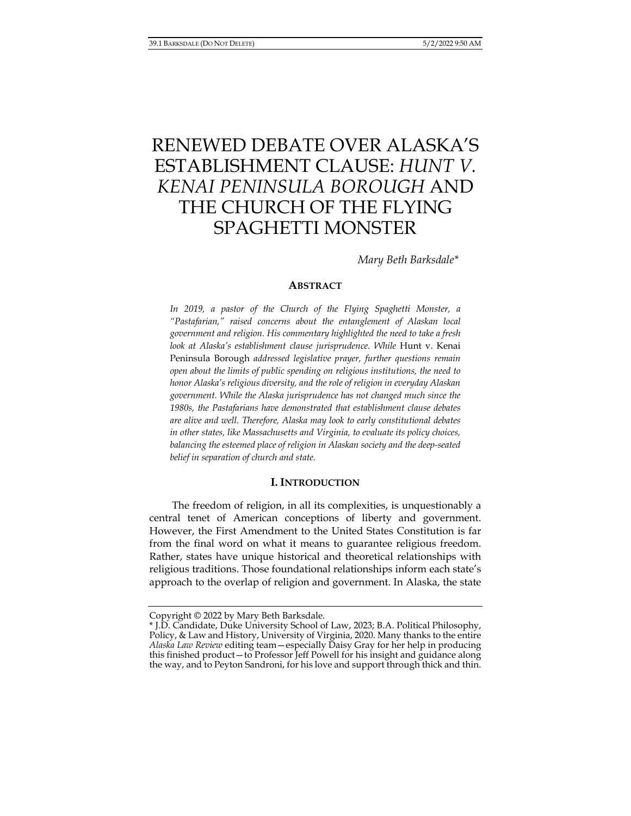# RENEWED DEBATE OVER ALASKA'S ESTABLISHMENT CLAUSE: *HUNT V. KENAI PENINSULA BOROUGH* AND THE CHURCH OF THE FLYING SPAGHETTI MONSTER

*Mary Beth Barksdale\** 

#### **ABSTRACT**

*In 2019, a pastor of the Church of the Flying Spaghetti Monster, a "Pastafarian," raised concerns about the entanglement of Alaskan local government and religion. His commentary highlighted the need to take a fresh look at Alaska's establishment clause jurisprudence. While* Hunt v. Kenai Peninsula Borough *addressed legislative prayer, further questions remain open about the limits of public spending on religious institutions, the need to honor Alaska's religious diversity, and the role of religion in everyday Alaskan government. While the Alaska jurisprudence has not changed much since the 1980s, the Pastafarians have demonstrated that establishment clause debates are alive and well. Therefore, Alaska may look to early constitutional debates in other states, like Massachusetts and Virginia, to evaluate its policy choices, balancing the esteemed place of religion in Alaskan society and the deep-seated belief in separation of church and state.* 

#### **I. INTRODUCTION**

The freedom of religion, in all its complexities, is unquestionably a central tenet of American conceptions of liberty and government. However, the First Amendment to the United States Constitution is far from the final word on what it means to guarantee religious freedom. Rather, states have unique historical and theoretical relationships with religious traditions. Those foundational relationships inform each state's approach to the overlap of religion and government. In Alaska, the state

Copyright © 2022 by Mary Beth Barksdale.

<sup>\*</sup> J.D. Candidate, Duke University School of Law, 2023; B.A. Political Philosophy, Policy, & Law and History, University of Virginia, 2020. Many thanks to the entire *Alaska Law Review* editing team—especially Daisy Gray for her help in producing this finished product—to Professor Jeff Powell for his insight and guidance along the way, and to Peyton Sandroni, for his love and support through thick and thin.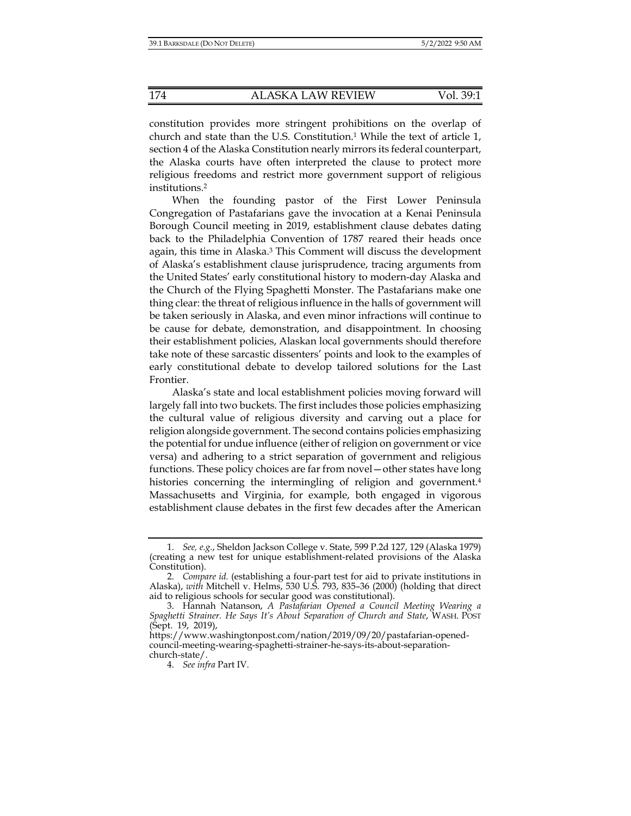constitution provides more stringent prohibitions on the overlap of church and state than the U.S. Constitution.1 While the text of article 1, section 4 of the Alaska Constitution nearly mirrors its federal counterpart, the Alaska courts have often interpreted the clause to protect more religious freedoms and restrict more government support of religious institutions.2

When the founding pastor of the First Lower Peninsula Congregation of Pastafarians gave the invocation at a Kenai Peninsula Borough Council meeting in 2019, establishment clause debates dating back to the Philadelphia Convention of 1787 reared their heads once again, this time in Alaska.3 This Comment will discuss the development of Alaska's establishment clause jurisprudence, tracing arguments from the United States' early constitutional history to modern-day Alaska and the Church of the Flying Spaghetti Monster. The Pastafarians make one thing clear: the threat of religious influence in the halls of government will be taken seriously in Alaska, and even minor infractions will continue to be cause for debate, demonstration, and disappointment. In choosing their establishment policies, Alaskan local governments should therefore take note of these sarcastic dissenters' points and look to the examples of early constitutional debate to develop tailored solutions for the Last Frontier.

Alaska's state and local establishment policies moving forward will largely fall into two buckets. The first includes those policies emphasizing the cultural value of religious diversity and carving out a place for religion alongside government. The second contains policies emphasizing the potential for undue influence (either of religion on government or vice versa) and adhering to a strict separation of government and religious functions. These policy choices are far from novel—other states have long histories concerning the intermingling of religion and government.<sup>4</sup> Massachusetts and Virginia, for example, both engaged in vigorous establishment clause debates in the first few decades after the American

 <sup>1.</sup> *See, e.g.*, Sheldon Jackson College v. State, 599 P.2d 127, 129 (Alaska 1979) (creating a new test for unique establishment-related provisions of the Alaska Constitution).

 <sup>2.</sup> *Compare id.* (establishing a four-part test for aid to private institutions in Alaska), *with* Mitchell v. Helms, 530 U.S. 793, 835–36 (2000) (holding that direct aid to religious schools for secular good was constitutional).

 <sup>3.</sup> Hannah Natanson, *A Pastafarian Opened a Council Meeting Wearing a Spaghetti Strainer. He Says It's About Separation of Church and State*, WASH. POST (Sept. 19, 2019),

https://www.washingtonpost.com/nation/2019/09/20/pastafarian-openedcouncil-meeting-wearing-spaghetti-strainer-he-says-its-about-separationchurch-state/.

 <sup>4.</sup> *See infra* Part IV.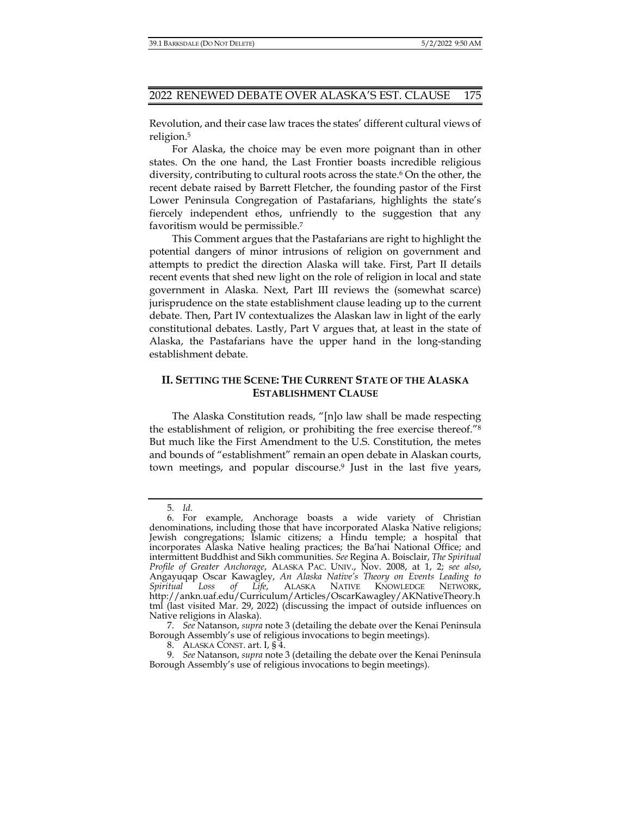Revolution, and their case law traces the states' different cultural views of religion.5

For Alaska, the choice may be even more poignant than in other states. On the one hand, the Last Frontier boasts incredible religious diversity, contributing to cultural roots across the state.6 On the other, the recent debate raised by Barrett Fletcher, the founding pastor of the First Lower Peninsula Congregation of Pastafarians, highlights the state's fiercely independent ethos, unfriendly to the suggestion that any favoritism would be permissible.7

This Comment argues that the Pastafarians are right to highlight the potential dangers of minor intrusions of religion on government and attempts to predict the direction Alaska will take. First, Part II details recent events that shed new light on the role of religion in local and state government in Alaska. Next, Part III reviews the (somewhat scarce) jurisprudence on the state establishment clause leading up to the current debate. Then, Part IV contextualizes the Alaskan law in light of the early constitutional debates. Lastly, Part V argues that, at least in the state of Alaska, the Pastafarians have the upper hand in the long-standing establishment debate.

# **II. SETTING THE SCENE: THE CURRENT STATE OF THE ALASKA ESTABLISHMENT CLAUSE**

The Alaska Constitution reads, "[n]o law shall be made respecting the establishment of religion, or prohibiting the free exercise thereof."8 But much like the First Amendment to the U.S. Constitution, the metes and bounds of "establishment" remain an open debate in Alaskan courts, town meetings, and popular discourse.<sup>9</sup> Just in the last five years,

 <sup>5.</sup> *Id.*

 <sup>6.</sup> For example, Anchorage boasts a wide variety of Christian denominations, including those that have incorporated Alaska Native religions; Jewish congregations; Islamic citizens; a Hindu temple; a hospital that incorporates Alaska Native healing practices; the Ba'hai National Office; and intermittent Buddhist and Sikh communities. *See* Regina A. Boisclair, *The Spiritual Profile of Greater Anchorage*, ALASKA PAC. UNIV., Nov. 2008, at 1, 2; *see also*, Angayuqap Oscar Kawagley, *An Alaska Native's Theory on Events Leading to Spiritual Loss of Life*, ALASKA NATIVE KNOWLEDGE NETWORK, http://ankn.uaf.edu/Curriculum/Articles/OscarKawagley/AKNativeTheory.h tml (last visited Mar. 29, 2022) (discussing the impact of outside influences on Native religions in Alaska).

 <sup>7.</sup> *See* Natanson, *supra* note 3 (detailing the debate over the Kenai Peninsula Borough Assembly's use of religious invocations to begin meetings).

 <sup>8.</sup> ALASKA CONST. art. I, § 4.

 <sup>9.</sup> *See* Natanson, *supra* note 3 (detailing the debate over the Kenai Peninsula Borough Assembly's use of religious invocations to begin meetings).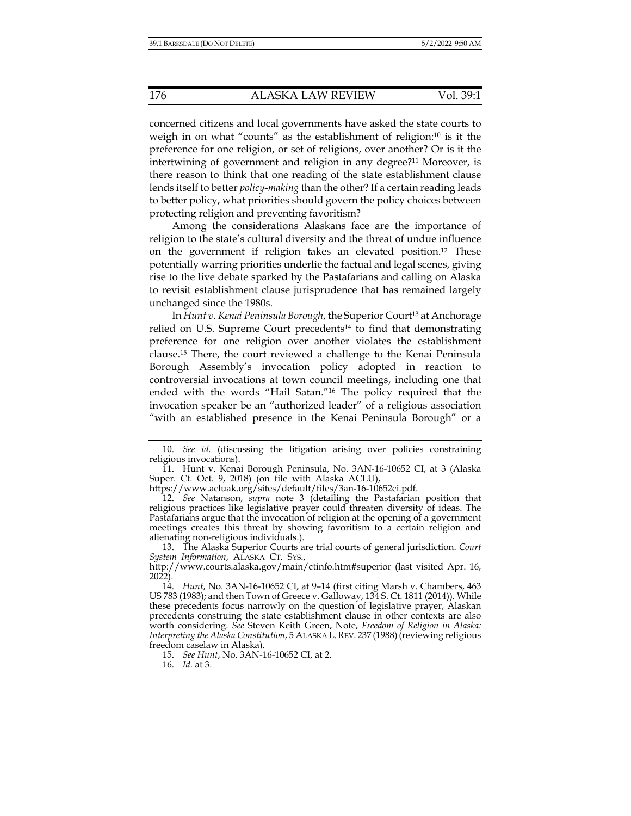concerned citizens and local governments have asked the state courts to weigh in on what "counts" as the establishment of religion:10 is it the preference for one religion, or set of religions, over another? Or is it the intertwining of government and religion in any degree?11 Moreover, is there reason to think that one reading of the state establishment clause lends itself to better *policy-making* than the other? If a certain reading leads to better policy, what priorities should govern the policy choices between protecting religion and preventing favoritism?

Among the considerations Alaskans face are the importance of religion to the state's cultural diversity and the threat of undue influence on the government if religion takes an elevated position.12 These potentially warring priorities underlie the factual and legal scenes, giving rise to the live debate sparked by the Pastafarians and calling on Alaska to revisit establishment clause jurisprudence that has remained largely unchanged since the 1980s.

In *Hunt v. Kenai Peninsula Borough*, the Superior Court<sup>13</sup> at Anchorage relied on U.S. Supreme Court precedents<sup>14</sup> to find that demonstrating preference for one religion over another violates the establishment clause.15 There, the court reviewed a challenge to the Kenai Peninsula Borough Assembly's invocation policy adopted in reaction to controversial invocations at town council meetings, including one that ended with the words "Hail Satan."16 The policy required that the invocation speaker be an "authorized leader" of a religious association "with an established presence in the Kenai Peninsula Borough" or a

https://www.acluak.org/sites/default/files/3an-16-10652ci.pdf.

16. *Id.* at 3.

 <sup>10.</sup> *See id.* (discussing the litigation arising over policies constraining religious invocations).

 <sup>11.</sup> Hunt v. Kenai Borough Peninsula, No. 3AN-16-10652 CI, at 3 (Alaska Super. Ct. Oct. 9, 2018) (on file with Alaska ACLU),

 <sup>12.</sup> *See* Natanson, *supra* note 3 (detailing the Pastafarian position that religious practices like legislative prayer could threaten diversity of ideas. The Pastafarians argue that the invocation of religion at the opening of a government meetings creates this threat by showing favoritism to a certain religion and alienating non-religious individuals.).

 <sup>13.</sup> The Alaska Superior Courts are trial courts of general jurisdiction. *Court System Information*, ALASKA CT. SYS.,

http://www.courts.alaska.gov/main/ctinfo.htm#superior (last visited Apr. 16, 2022).

 <sup>14.</sup> *Hunt*, No. 3AN-16-10652 CI, at 9–14 (first citing Marsh v. Chambers, 463 US 783 (1983); and then Town of Greece v. Galloway, 134 S. Ct. 1811 (2014)). While these precedents focus narrowly on the question of legislative prayer, Alaskan precedents construing the state establishment clause in other contexts are also worth considering. *See* Steven Keith Green, Note, *Freedom of Religion in Alaska: Interpreting the Alaska Constitution*, 5 ALASKA L.REV. 237 (1988)(reviewing religious freedom caselaw in Alaska).

 <sup>15.</sup> *See Hunt*, No. 3AN-16-10652 CI, at 2.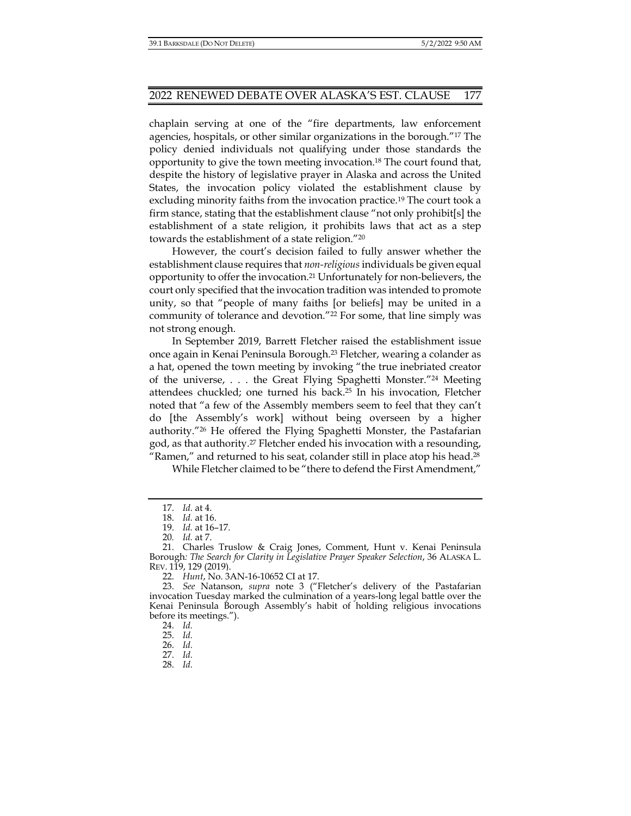chaplain serving at one of the "fire departments, law enforcement agencies, hospitals, or other similar organizations in the borough."17 The policy denied individuals not qualifying under those standards the opportunity to give the town meeting invocation.18 The court found that, despite the history of legislative prayer in Alaska and across the United States, the invocation policy violated the establishment clause by excluding minority faiths from the invocation practice.19 The court took a firm stance, stating that the establishment clause "not only prohibit[s] the establishment of a state religion, it prohibits laws that act as a step towards the establishment of a state religion."20

However, the court's decision failed to fully answer whether the establishment clause requires that *non-religious* individuals be given equal opportunity to offer the invocation.21 Unfortunately for non-believers, the court only specified that the invocation tradition was intended to promote unity, so that "people of many faiths [or beliefs] may be united in a community of tolerance and devotion."22 For some, that line simply was not strong enough.

In September 2019, Barrett Fletcher raised the establishment issue once again in Kenai Peninsula Borough.23 Fletcher, wearing a colander as a hat, opened the town meeting by invoking "the true inebriated creator of the universe, . . . the Great Flying Spaghetti Monster."24 Meeting attendees chuckled; one turned his back.25 In his invocation, Fletcher noted that "a few of the Assembly members seem to feel that they can't do [the Assembly's work] without being overseen by a higher authority."26 He offered the Flying Spaghetti Monster, the Pastafarian god, as that authority.27 Fletcher ended his invocation with a resounding, "Ramen," and returned to his seat, colander still in place atop his head.<sup>28</sup>

While Fletcher claimed to be "there to defend the First Amendment,"

24. *Id.* 

26. *Id.*

 <sup>17.</sup> *Id.* at 4.

 <sup>18.</sup> *Id.* at 16.

 <sup>19.</sup> *Id.* at 16–17.

<sup>20</sup>*. Id.* at 7.

 <sup>21.</sup> Charles Truslow & Craig Jones, Comment, Hunt v. Kenai Peninsula Borough*: The Search for Clarity in Legislative Prayer Speaker Selection*, 36 ALASKA L. REV. 119, 129 (2019).

 <sup>22.</sup> *Hunt*, No. 3AN-16-10652 CI at 17.

 <sup>23.</sup> *See* Natanson, *supra* note 3 ("Fletcher's delivery of the Pastafarian invocation Tuesday marked the culmination of a years-long legal battle over the Kenai Peninsula Borough Assembly's habit of holding religious invocations before its meetings.").

 <sup>25.</sup> *Id.*

 <sup>27.</sup> *Id.*

 <sup>28.</sup> *Id.*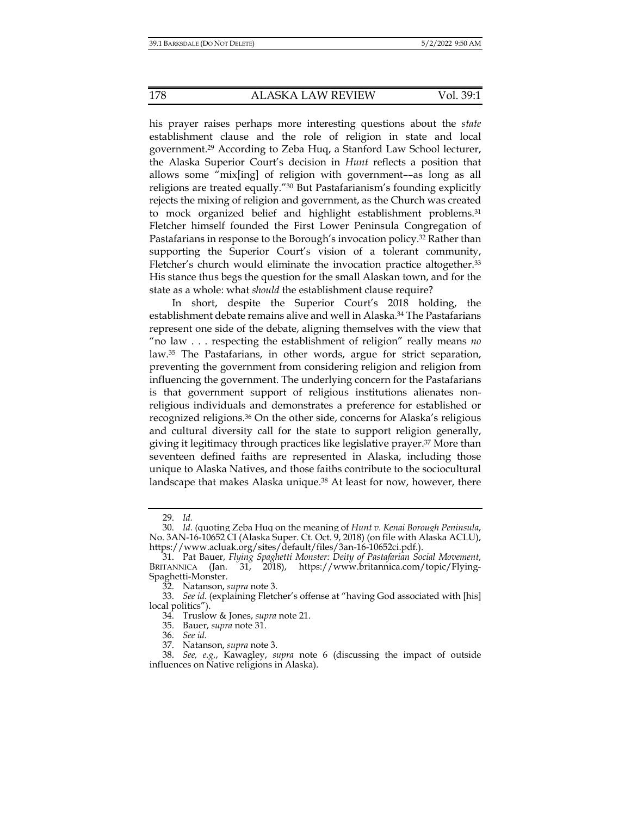his prayer raises perhaps more interesting questions about the *state* establishment clause and the role of religion in state and local government.29 According to Zeba Huq, a Stanford Law School lecturer, the Alaska Superior Court's decision in *Hunt* reflects a position that allows some "mix[ing] of religion with government––as long as all religions are treated equally."30 But Pastafarianism's founding explicitly rejects the mixing of religion and government, as the Church was created to mock organized belief and highlight establishment problems.31 Fletcher himself founded the First Lower Peninsula Congregation of Pastafarians in response to the Borough's invocation policy.32 Rather than supporting the Superior Court's vision of a tolerant community, Fletcher's church would eliminate the invocation practice altogether.33 His stance thus begs the question for the small Alaskan town, and for the state as a whole: what *should* the establishment clause require?

In short, despite the Superior Court's 2018 holding, the establishment debate remains alive and well in Alaska.34 The Pastafarians represent one side of the debate, aligning themselves with the view that "no law . . . respecting the establishment of religion" really means *no* law.35 The Pastafarians, in other words, argue for strict separation, preventing the government from considering religion and religion from influencing the government. The underlying concern for the Pastafarians is that government support of religious institutions alienates nonreligious individuals and demonstrates a preference for established or recognized religions.36 On the other side, concerns for Alaska's religious and cultural diversity call for the state to support religion generally, giving it legitimacy through practices like legislative prayer.37 More than seventeen defined faiths are represented in Alaska, including those unique to Alaska Natives, and those faiths contribute to the sociocultural landscape that makes Alaska unique.<sup>38</sup> At least for now, however, there

 <sup>29.</sup> *Id.* 

 <sup>30.</sup> *Id.* (quoting Zeba Huq on the meaning of *Hunt v. Kenai Borough Peninsula*, No. 3AN-16-10652 CI (Alaska Super. Ct. Oct. 9, 2018) (on file with Alaska ACLU), https://www.acluak.org/sites/default/files/3an-16-10652ci.pdf.).

 <sup>31.</sup> Pat Bauer, *Flying Spaghetti Monster: Deity of Pastafarian Social Movement*, BRITANNICA (Jan. 31, 2018), https://www.britannica.com/topic/Flying-Spaghetti-Monster.

 <sup>32.</sup> Natanson, *supra* note 3.

 <sup>33.</sup> *See id*. (explaining Fletcher's offense at "having God associated with [his] local politics").

 <sup>34.</sup> Truslow & Jones, *supra* note 21.

 <sup>35.</sup> Bauer, *supra* note 31.

 <sup>36.</sup> *See id.*

 <sup>37.</sup> Natanson, *supra* note 3.

 <sup>38.</sup> *See, e.g.*, Kawagley, *supra* note 6 (discussing the impact of outside influences on Native religions in Alaska).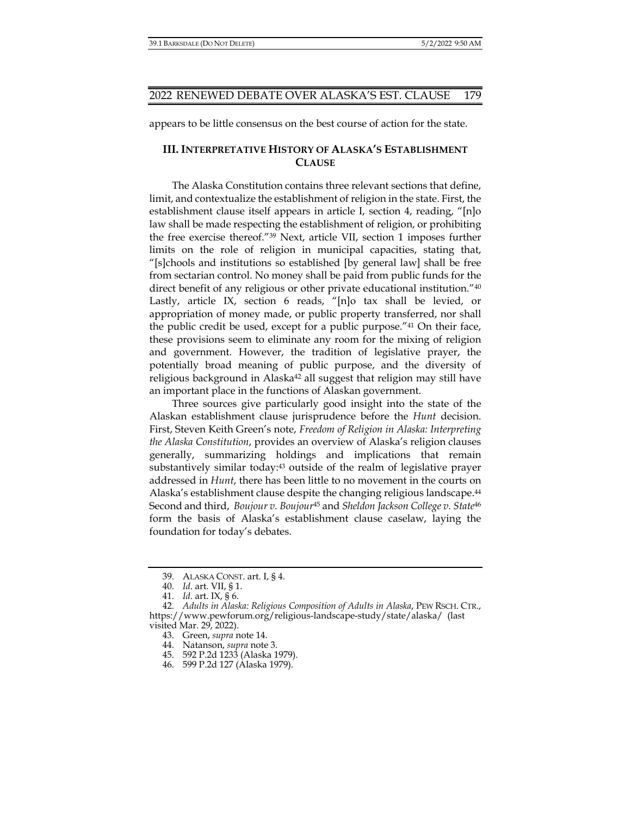appears to be little consensus on the best course of action for the state.

## **III. INTERPRETATIVE HISTORY OF ALASKA'S ESTABLISHMENT CLAUSE**

The Alaska Constitution contains three relevant sections that define, limit, and contextualize the establishment of religion in the state. First, the establishment clause itself appears in article I, section 4, reading, "[n]o law shall be made respecting the establishment of religion, or prohibiting the free exercise thereof."39 Next, article VII, section 1 imposes further limits on the role of religion in municipal capacities, stating that, "[s]chools and institutions so established [by general law] shall be free from sectarian control. No money shall be paid from public funds for the direct benefit of any religious or other private educational institution."40 Lastly, article IX, section 6 reads, "[n]o tax shall be levied, or appropriation of money made, or public property transferred, nor shall the public credit be used, except for a public purpose."41 On their face, these provisions seem to eliminate any room for the mixing of religion and government. However, the tradition of legislative prayer, the potentially broad meaning of public purpose, and the diversity of religious background in Alaska<sup>42</sup> all suggest that religion may still have an important place in the functions of Alaskan government.

Three sources give particularly good insight into the state of the Alaskan establishment clause jurisprudence before the *Hunt* decision. First, Steven Keith Green's note, *Freedom of Religion in Alaska: Interpreting the Alaska Constitution*, provides an overview of Alaska's religion clauses generally, summarizing holdings and implications that remain substantively similar today:<sup>43</sup> outside of the realm of legislative prayer addressed in *Hunt*, there has been little to no movement in the courts on Alaska's establishment clause despite the changing religious landscape.<sup>44</sup> Second and third, *Boujour v. Boujour*45 and *Sheldon Jackson College v. State*<sup>46</sup> form the basis of Alaska's establishment clause caselaw, laying the foundation for today's debates.

 <sup>39.</sup> ALASKA CONST. art. I, § 4.

 <sup>40.</sup> *Id*. art. VII, § 1.

 <sup>41.</sup> *Id*. art. IX, § 6.

 <sup>42.</sup> *Adults in Alaska: Religious Composition of Adults in Alaska*, PEW RSCH. CTR., https://www.pewforum.org/religious-landscape-study/state/alaska/ (last visited Mar. 29, 2022).

 <sup>43.</sup> Green, *supra* note 14.

 <sup>44.</sup> Natanson, *supra* note 3.

 <sup>45. 592</sup> P.2d 1233 (Alaska 1979).

 <sup>46. 599</sup> P.2d 127 (Alaska 1979).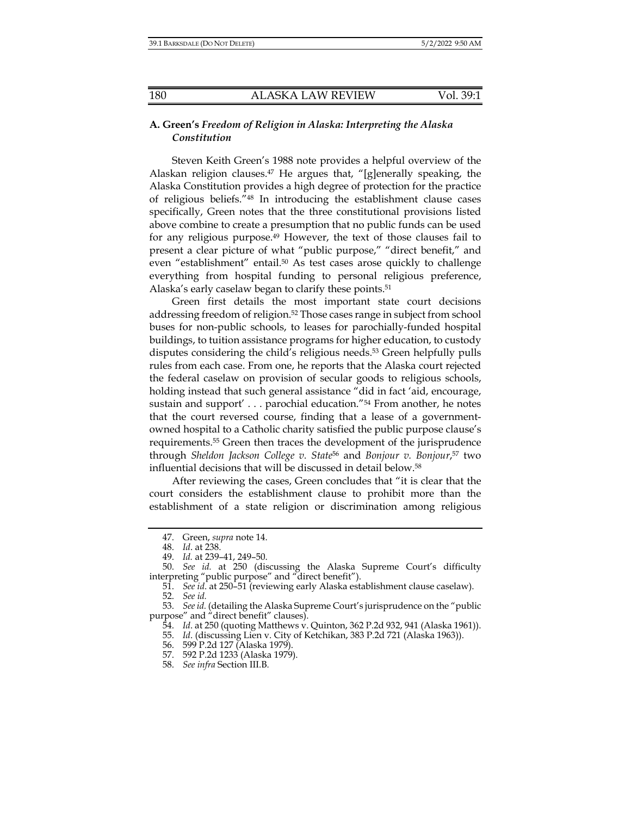## **A. Green's** *Freedom of Religion in Alaska: Interpreting the Alaska Constitution*

Steven Keith Green's 1988 note provides a helpful overview of the Alaskan religion clauses.47 He argues that, "[g]enerally speaking, the Alaska Constitution provides a high degree of protection for the practice of religious beliefs."48 In introducing the establishment clause cases specifically, Green notes that the three constitutional provisions listed above combine to create a presumption that no public funds can be used for any religious purpose.49 However, the text of those clauses fail to present a clear picture of what "public purpose," "direct benefit," and even "establishment" entail.<sup>50</sup> As test cases arose quickly to challenge everything from hospital funding to personal religious preference, Alaska's early caselaw began to clarify these points.<sup>51</sup>

Green first details the most important state court decisions addressing freedom of religion.52 Those cases range in subject from school buses for non-public schools, to leases for parochially-funded hospital buildings, to tuition assistance programs for higher education, to custody disputes considering the child's religious needs.<sup>53</sup> Green helpfully pulls rules from each case. From one, he reports that the Alaska court rejected the federal caselaw on provision of secular goods to religious schools, holding instead that such general assistance "did in fact 'aid, encourage, sustain and support' . . . parochial education."54 From another, he notes that the court reversed course, finding that a lease of a governmentowned hospital to a Catholic charity satisfied the public purpose clause's requirements.55 Green then traces the development of the jurisprudence through *Sheldon Jackson College v. State*<sup>56</sup> and *Bonjour v. Bonjour*, 57 two influential decisions that will be discussed in detail below.58

After reviewing the cases, Green concludes that "it is clear that the court considers the establishment clause to prohibit more than the establishment of a state religion or discrimination among religious

 <sup>47.</sup> Green, *supra* note 14.

 <sup>48.</sup> *Id*. at 238.

 <sup>49.</sup> *Id.* at 239–41, 249–50.

 <sup>50.</sup> *See id.* at 250 (discussing the Alaska Supreme Court's difficulty interpreting "public purpose" and "direct benefit").

 <sup>51.</sup> *See id*. at 250–51 (reviewing early Alaska establishment clause caselaw).

 <sup>52.</sup> *See id.*

 <sup>53.</sup> *See id.* (detailing the Alaska Supreme Court's jurisprudence on the "public purpose" and "direct benefit" clauses).

 <sup>54.</sup> *Id*. at 250 (quoting Matthews v. Quinton, 362 P.2d 932, 941 (Alaska 1961)).

 <sup>55.</sup> *Id*. (discussing Lien v. City of Ketchikan, 383 P.2d 721 (Alaska 1963)).

 <sup>56. 599</sup> P.2d 127 (Alaska 1979).

 <sup>57. 592</sup> P.2d 1233 (Alaska 1979).

 <sup>58.</sup> *See infra* Section III.B*.*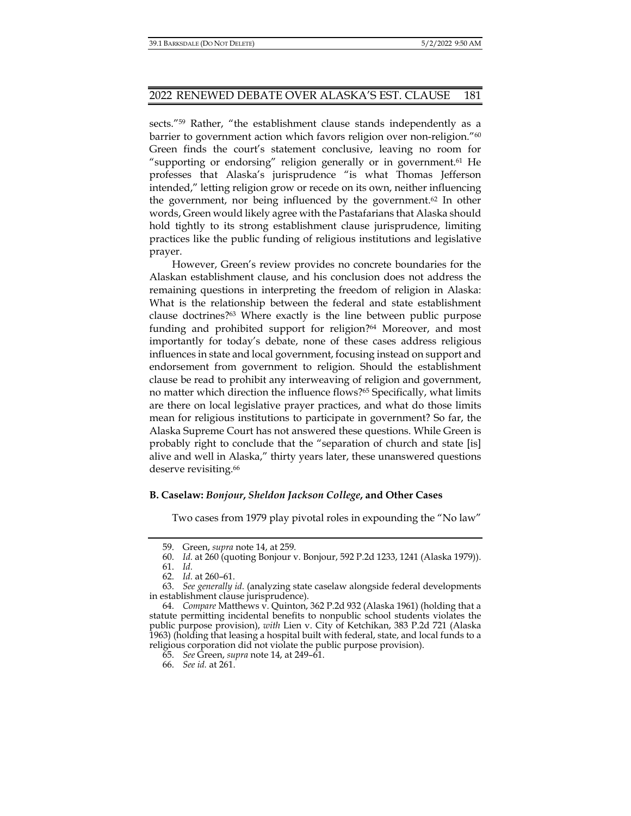sects."59 Rather, "the establishment clause stands independently as a barrier to government action which favors religion over non-religion."<sup>60</sup> Green finds the court's statement conclusive, leaving no room for "supporting or endorsing" religion generally or in government.<sup>61</sup> He professes that Alaska's jurisprudence "is what Thomas Jefferson intended," letting religion grow or recede on its own, neither influencing the government, nor being influenced by the government.62 In other words, Green would likely agree with the Pastafarians that Alaska should hold tightly to its strong establishment clause jurisprudence, limiting practices like the public funding of religious institutions and legislative prayer.

However, Green's review provides no concrete boundaries for the Alaskan establishment clause, and his conclusion does not address the remaining questions in interpreting the freedom of religion in Alaska: What is the relationship between the federal and state establishment clause doctrines?63 Where exactly is the line between public purpose funding and prohibited support for religion?<sup>64</sup> Moreover, and most importantly for today's debate, none of these cases address religious influences in state and local government, focusing instead on support and endorsement from government to religion. Should the establishment clause be read to prohibit any interweaving of religion and government, no matter which direction the influence flows?65 Specifically, what limits are there on local legislative prayer practices, and what do those limits mean for religious institutions to participate in government? So far, the Alaska Supreme Court has not answered these questions. While Green is probably right to conclude that the "separation of church and state [is] alive and well in Alaska," thirty years later, these unanswered questions deserve revisiting.<sup>66</sup>

#### **B. Caselaw:** *Bonjour***,** *Sheldon Jackson College***, and Other Cases**

Two cases from 1979 play pivotal roles in expounding the "No law"

 <sup>59.</sup> Green, *supra* note 14, at 259.

 <sup>60.</sup> *Id.* at 260 (quoting Bonjour v. Bonjour, 592 P.2d 1233, 1241 (Alaska 1979)).

 <sup>61.</sup> *Id.*

 <sup>62.</sup> *Id.* at 260–61.

 <sup>63.</sup> *See generally id*. (analyzing state caselaw alongside federal developments in establishment clause jurisprudence).

 <sup>64.</sup> *Compare* Matthews v. Quinton, 362 P.2d 932 (Alaska 1961) (holding that a statute permitting incidental benefits to nonpublic school students violates the public purpose provision), *with* Lien v. City of Ketchikan, 383 P.2d 721 (Alaska 1963) (holding that leasing a hospital built with federal, state, and local funds to a religious corporation did not violate the public purpose provision).

 <sup>65.</sup> *See* Green, *supra* note 14, at 249–61.

 <sup>66.</sup> *See id.* at 261.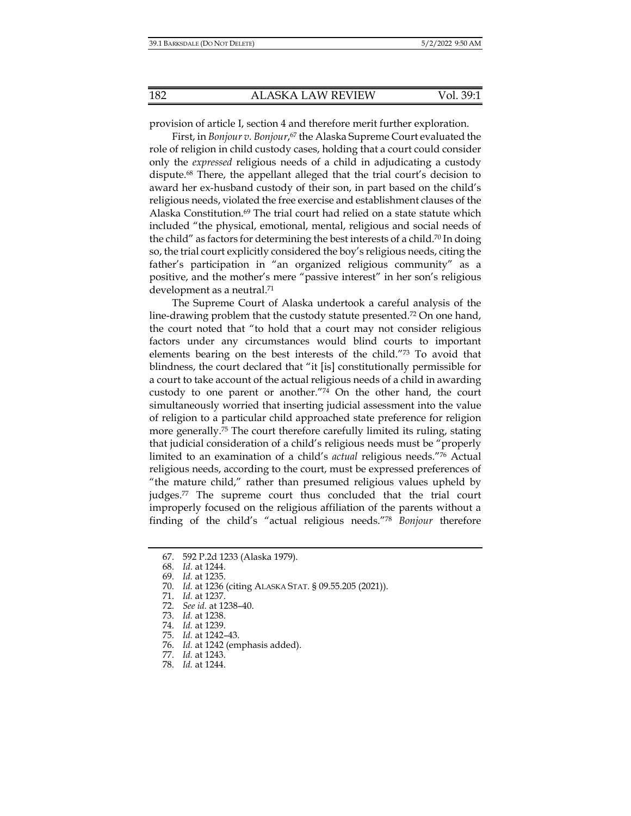provision of article I, section 4 and therefore merit further exploration.

First, in *Bonjour v. Bonjour*, 67 the Alaska Supreme Court evaluated the role of religion in child custody cases, holding that a court could consider only the *expressed* religious needs of a child in adjudicating a custody dispute.68 There, the appellant alleged that the trial court's decision to award her ex-husband custody of their son, in part based on the child's religious needs, violated the free exercise and establishment clauses of the Alaska Constitution. $69$  The trial court had relied on a state statute which included "the physical, emotional, mental, religious and social needs of the child" as factors for determining the best interests of a child.<sup>70</sup> In doing so, the trial court explicitly considered the boy's religious needs, citing the father's participation in "an organized religious community" as a positive, and the mother's mere "passive interest" in her son's religious development as a neutral.<sup>71</sup>

The Supreme Court of Alaska undertook a careful analysis of the line-drawing problem that the custody statute presented.72 On one hand, the court noted that "to hold that a court may not consider religious factors under any circumstances would blind courts to important elements bearing on the best interests of the child."73 To avoid that blindness, the court declared that "it [is] constitutionally permissible for a court to take account of the actual religious needs of a child in awarding custody to one parent or another."74 On the other hand, the court simultaneously worried that inserting judicial assessment into the value of religion to a particular child approached state preference for religion more generally.75 The court therefore carefully limited its ruling, stating that judicial consideration of a child's religious needs must be "properly limited to an examination of a child's *actual* religious needs."76 Actual religious needs, according to the court, must be expressed preferences of "the mature child," rather than presumed religious values upheld by judges.77 The supreme court thus concluded that the trial court improperly focused on the religious affiliation of the parents without a finding of the child's "actual religious needs."78 *Bonjour* therefore

 <sup>67. 592</sup> P.2d 1233 (Alaska 1979).

 <sup>68.</sup> *Id.* at 1244.

 <sup>69.</sup> *Id.* at 1235.

 <sup>70.</sup> *Id.* at 1236 (citing ALASKA STAT. § 09.55.205 (2021)).

 <sup>71.</sup> *Id.* at 1237.

 <sup>72.</sup> *See id.* at 1238–40.

 <sup>73.</sup> *Id.* at 1238.

 <sup>74.</sup> *Id.* at 1239.

 <sup>75.</sup> *Id.* at 1242–43.

 <sup>76.</sup> *Id.* at 1242 (emphasis added).

 <sup>77.</sup> *Id.* at 1243.

 <sup>78.</sup> *Id.* at 1244.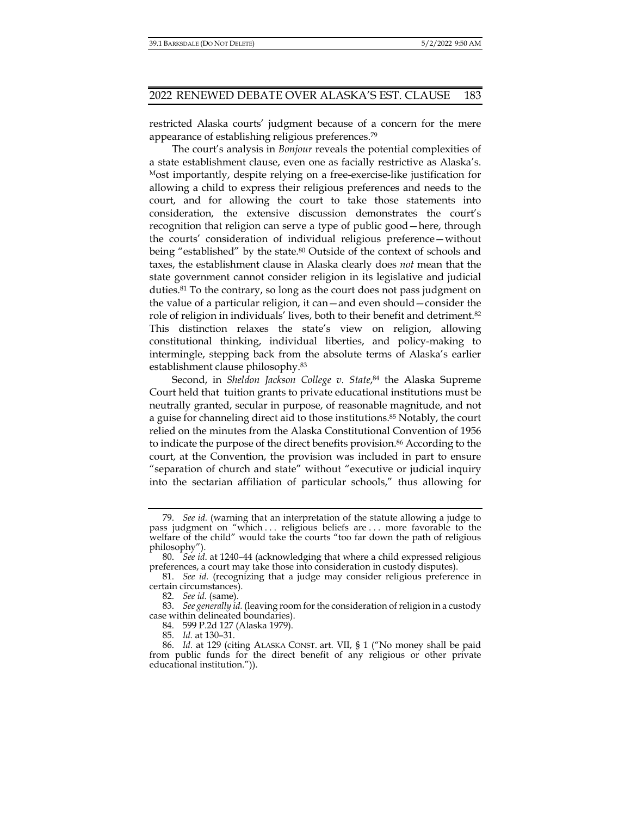restricted Alaska courts' judgment because of a concern for the mere appearance of establishing religious preferences.79

The court's analysis in *Bonjour* reveals the potential complexities of a state establishment clause, even one as facially restrictive as Alaska's. Most importantly, despite relying on a free-exercise-like justification for allowing a child to express their religious preferences and needs to the court, and for allowing the court to take those statements into consideration, the extensive discussion demonstrates the court's recognition that religion can serve a type of public good—here, through the courts' consideration of individual religious preference—without being "established" by the state.<sup>80</sup> Outside of the context of schools and taxes, the establishment clause in Alaska clearly does *not* mean that the state government cannot consider religion in its legislative and judicial duties.<sup>81</sup> To the contrary, so long as the court does not pass judgment on the value of a particular religion, it can—and even should—consider the role of religion in individuals' lives, both to their benefit and detriment.82 This distinction relaxes the state's view on religion, allowing constitutional thinking, individual liberties, and policy-making to intermingle, stepping back from the absolute terms of Alaska's earlier establishment clause philosophy.83

Second, in *Sheldon Jackson College v. State*, 84 the Alaska Supreme Court held that tuition grants to private educational institutions must be neutrally granted, secular in purpose, of reasonable magnitude, and not a guise for channeling direct aid to those institutions.85 Notably, the court relied on the minutes from the Alaska Constitutional Convention of 1956 to indicate the purpose of the direct benefits provision.86 According to the court, at the Convention, the provision was included in part to ensure "separation of church and state" without "executive or judicial inquiry into the sectarian affiliation of particular schools," thus allowing for

 <sup>79.</sup> *See id.* (warning that an interpretation of the statute allowing a judge to pass judgment on "which . . . religious beliefs are . . . more favorable to the welfare of the child" would take the courts "too far down the path of religious philosophy").

 <sup>80.</sup> *See id*. at 1240–44 (acknowledging that where a child expressed religious preferences, a court may take those into consideration in custody disputes).

 <sup>81.</sup> *See id.* (recognizing that a judge may consider religious preference in certain circumstances).

 <sup>82.</sup> *See id.* (same).

 <sup>83.</sup> *See generally id.* (leaving room for the consideration of religion in a custody case within delineated boundaries).

 <sup>84. 599</sup> P.2d 127 (Alaska 1979).

 <sup>85.</sup> *Id.* at 130–31.

 <sup>86.</sup> *Id.* at 129 (citing ALASKA CONST. art. VII, § 1 ("No money shall be paid from public funds for the direct benefit of any religious or other private educational institution.")).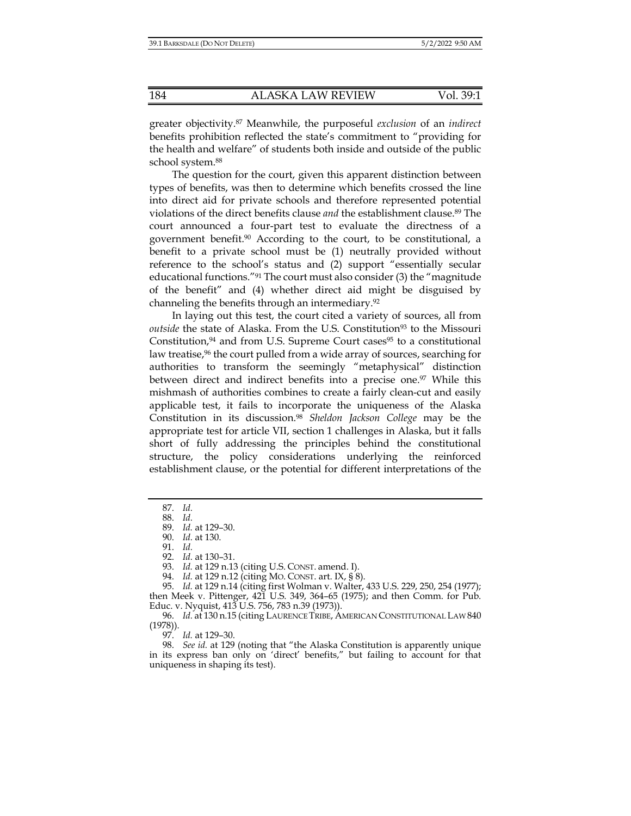greater objectivity.87 Meanwhile, the purposeful *exclusion* of an *indirect*  benefits prohibition reflected the state's commitment to "providing for the health and welfare" of students both inside and outside of the public school system.88

The question for the court, given this apparent distinction between types of benefits, was then to determine which benefits crossed the line into direct aid for private schools and therefore represented potential violations of the direct benefits clause *and* the establishment clause.89 The court announced a four-part test to evaluate the directness of a government benefit.<sup>90</sup> According to the court, to be constitutional, a benefit to a private school must be (1) neutrally provided without reference to the school's status and (2) support "essentially secular educational functions."91 The court must also consider (3) the "magnitude of the benefit" and (4) whether direct aid might be disguised by channeling the benefits through an intermediary.92

In laying out this test, the court cited a variety of sources, all from *outside* the state of Alaska. From the U.S. Constitution<sup>93</sup> to the Missouri Constitution, $94$  and from U.S. Supreme Court cases<sup>95</sup> to a constitutional law treatise,<sup>96</sup> the court pulled from a wide array of sources, searching for authorities to transform the seemingly "metaphysical" distinction between direct and indirect benefits into a precise one.<sup>97</sup> While this mishmash of authorities combines to create a fairly clean-cut and easily applicable test, it fails to incorporate the uniqueness of the Alaska Constitution in its discussion.98 *Sheldon Jackson College* may be the appropriate test for article VII, section 1 challenges in Alaska, but it falls short of fully addressing the principles behind the constitutional structure, the policy considerations underlying the reinforced establishment clause, or the potential for different interpretations of the

93. *Id.* at 129 n.13 (citing U.S. CONST. amend. I).

97. *Id.* at 129–30.

 <sup>87.</sup> *Id.*

 <sup>88.</sup> *Id.*

 <sup>89.</sup> *Id.* at 129–30.

 <sup>90.</sup> *Id.* at 130.

 <sup>91.</sup> *Id.*

 <sup>92.</sup> *Id.* at 130–31.

 <sup>94.</sup> *Id.* at 129 n.12 (citing MO. CONST. art. IX, § 8).

 <sup>95.</sup> *Id.* at 129 n.14 (citing first Wolman v. Walter, 433 U.S. 229, 250, 254 (1977); then Meek v. Pittenger, 421 U.S. 349, 364–65 (1975); and then Comm. for Pub. Educ. v. Nyquist, 413 U.S. 756, 783 n.39 (1973)).

 <sup>96.</sup> *Id.* at 130 n.15 (citing LAURENCE TRIBE, AMERICAN CONSTITUTIONAL LAW 840 (1978)).

 <sup>98.</sup> *See id.* at 129 (noting that "the Alaska Constitution is apparently unique in its express ban only on 'direct' benefits," but failing to account for that uniqueness in shaping its test).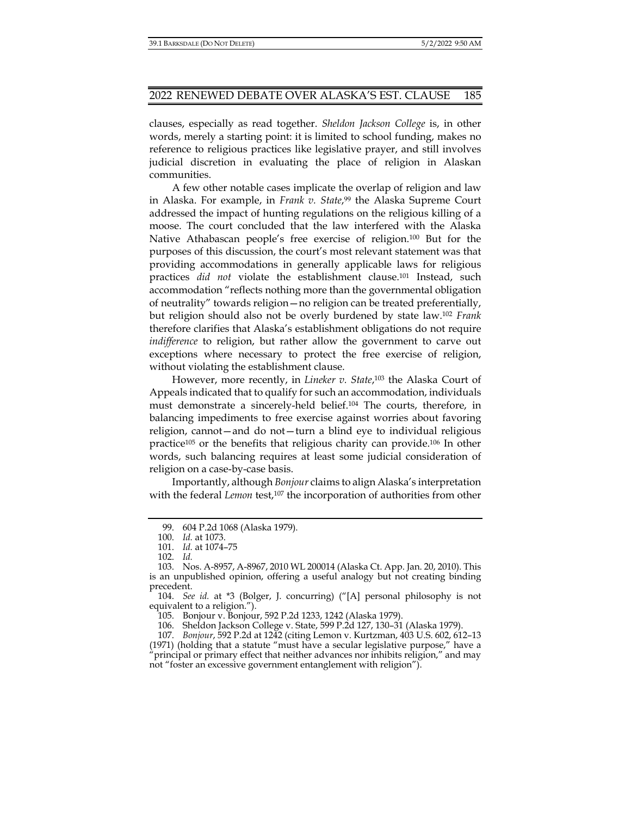clauses, especially as read together. *Sheldon Jackson College* is, in other words, merely a starting point: it is limited to school funding, makes no reference to religious practices like legislative prayer, and still involves judicial discretion in evaluating the place of religion in Alaskan communities.

A few other notable cases implicate the overlap of religion and law in Alaska. For example, in *Frank v. State*,<sup>99</sup> the Alaska Supreme Court addressed the impact of hunting regulations on the religious killing of a moose. The court concluded that the law interfered with the Alaska Native Athabascan people's free exercise of religion.100 But for the purposes of this discussion, the court's most relevant statement was that providing accommodations in generally applicable laws for religious practices *did not* violate the establishment clause.101 Instead, such accommodation "reflects nothing more than the governmental obligation of neutrality" towards religion—no religion can be treated preferentially, but religion should also not be overly burdened by state law.102 *Frank*  therefore clarifies that Alaska's establishment obligations do not require *indifference* to religion, but rather allow the government to carve out exceptions where necessary to protect the free exercise of religion, without violating the establishment clause.

However, more recently, in *Lineker v. State*, 103 the Alaska Court of Appeals indicated that to qualify for such an accommodation, individuals must demonstrate a sincerely-held belief.104 The courts, therefore, in balancing impediments to free exercise against worries about favoring religion, cannot—and do not—turn a blind eye to individual religious practice105 or the benefits that religious charity can provide.106 In other words, such balancing requires at least some judicial consideration of religion on a case-by-case basis.

Importantly, although *Bonjour* claims to align Alaska's interpretation with the federal *Lemon* test,<sup>107</sup> the incorporation of authorities from other

105. Bonjour v. Bonjour, 592 P.2d 1233, 1242 (Alaska 1979).

106. Sheldon Jackson College v. State, 599 P.2d 127, 130–31 (Alaska 1979).

 107. *Bonjour*, 592 P.2d at 1242 (citing Lemon v. Kurtzman, 403 U.S. 602, 612–13 (1971) (holding that a statute "must have a secular legislative purpose," have a

"principal or primary effect that neither advances nor inhibits religion," and may not "foster an excessive government entanglement with religion").

 <sup>99. 604</sup> P.2d 1068 (Alaska 1979).

 <sup>100.</sup> *Id.* at 1073.

 <sup>101.</sup> *Id.* at 1074–75

 <sup>102.</sup> *Id.* 

 <sup>103.</sup> Nos. A-8957, A-8967, 2010 WL 200014 (Alaska Ct. App. Jan. 20, 2010). This is an unpublished opinion, offering a useful analogy but not creating binding precedent.

 <sup>104.</sup> *See id.* at \*3 (Bolger, J. concurring) ("[A] personal philosophy is not equivalent to a religion.").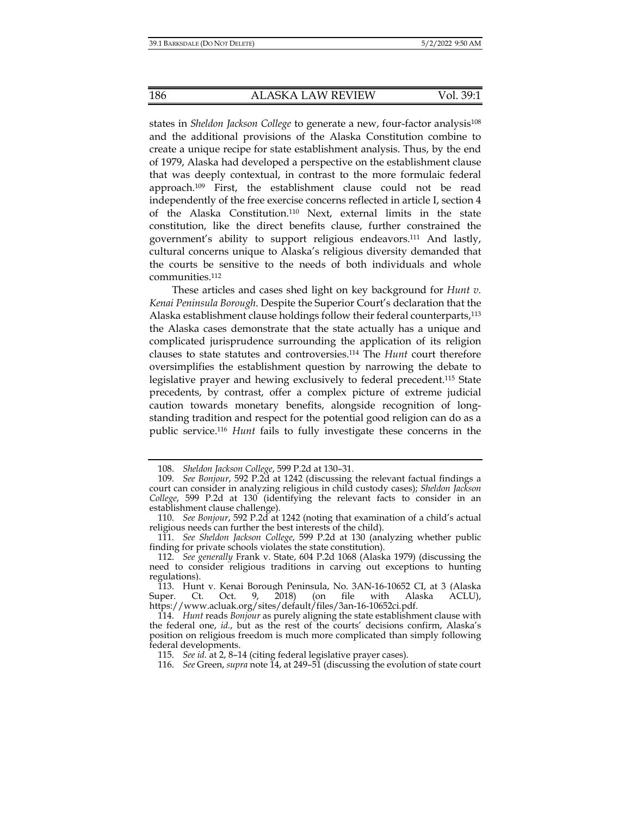states in *Sheldon Jackson College* to generate a new, four-factor analysis<sup>108</sup> and the additional provisions of the Alaska Constitution combine to create a unique recipe for state establishment analysis. Thus, by the end of 1979, Alaska had developed a perspective on the establishment clause that was deeply contextual, in contrast to the more formulaic federal approach.109 First, the establishment clause could not be read independently of the free exercise concerns reflected in article I, section 4 of the Alaska Constitution.110 Next, external limits in the state constitution, like the direct benefits clause, further constrained the government's ability to support religious endeavors.111 And lastly, cultural concerns unique to Alaska's religious diversity demanded that the courts be sensitive to the needs of both individuals and whole communities.112

These articles and cases shed light on key background for *Hunt v. Kenai Peninsula Borough*. Despite the Superior Court's declaration that the Alaska establishment clause holdings follow their federal counterparts,<sup>113</sup> the Alaska cases demonstrate that the state actually has a unique and complicated jurisprudence surrounding the application of its religion clauses to state statutes and controversies.114 The *Hunt* court therefore oversimplifies the establishment question by narrowing the debate to legislative prayer and hewing exclusively to federal precedent.115 State precedents, by contrast, offer a complex picture of extreme judicial caution towards monetary benefits, alongside recognition of longstanding tradition and respect for the potential good religion can do as a public service.116 *Hunt* fails to fully investigate these concerns in the

 <sup>108.</sup> *Sheldon Jackson College*, 599 P.2d at 130–31.

 <sup>109.</sup> *See Bonjour*, 592 P.2d at 1242 (discussing the relevant factual findings a court can consider in analyzing religious in child custody cases); *Sheldon Jackson College*, 599 P.2d at 130 (identifying the relevant facts to consider in an establishment clause challenge).

 <sup>110.</sup> *See Bonjour*, 592 P.2d at 1242 (noting that examination of a child's actual religious needs can further the best interests of the child).

 <sup>111.</sup> *See Sheldon Jackson College*, 599 P.2d at 130 (analyzing whether public finding for private schools violates the state constitution).

 <sup>112.</sup> *See generally* Frank v. State, 604 P.2d 1068 (Alaska 1979) (discussing the need to consider religious traditions in carving out exceptions to hunting regulations).

 <sup>113.</sup> Hunt v. Kenai Borough Peninsula, No. 3AN-16-10652 CI, at 3 (Alaska Super. Ct. Oct. 9, 2018) (on file with Alaska ACLU), https://www.acluak.org/sites/default/files/3an-16-10652ci.pdf.

 <sup>114.</sup> *Hunt* reads *Bonjour* as purely aligning the state establishment clause with the federal one, *id.*, but as the rest of the courts' decisions confirm, Alaska's position on religious freedom is much more complicated than simply following federal developments.

 <sup>115.</sup> *See id.* at 2, 8–14 (citing federal legislative prayer cases).

 <sup>116.</sup> *See* Green, *supra* note 14, at 249–51 (discussing the evolution of state court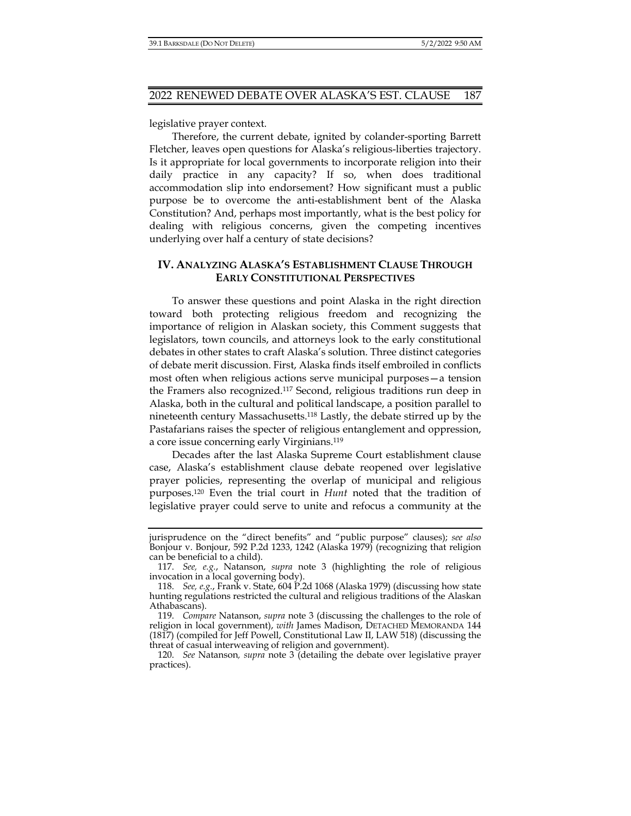legislative prayer context.

Therefore, the current debate, ignited by colander-sporting Barrett Fletcher, leaves open questions for Alaska's religious-liberties trajectory. Is it appropriate for local governments to incorporate religion into their daily practice in any capacity? If so, when does traditional accommodation slip into endorsement? How significant must a public purpose be to overcome the anti-establishment bent of the Alaska Constitution? And, perhaps most importantly, what is the best policy for dealing with religious concerns, given the competing incentives underlying over half a century of state decisions?

## **IV. ANALYZING ALASKA'S ESTABLISHMENT CLAUSE THROUGH EARLY CONSTITUTIONAL PERSPECTIVES**

To answer these questions and point Alaska in the right direction toward both protecting religious freedom and recognizing the importance of religion in Alaskan society, this Comment suggests that legislators, town councils, and attorneys look to the early constitutional debates in other states to craft Alaska's solution. Three distinct categories of debate merit discussion. First, Alaska finds itself embroiled in conflicts most often when religious actions serve municipal purposes—a tension the Framers also recognized.117 Second, religious traditions run deep in Alaska, both in the cultural and political landscape, a position parallel to nineteenth century Massachusetts.118 Lastly, the debate stirred up by the Pastafarians raises the specter of religious entanglement and oppression, a core issue concerning early Virginians.119

Decades after the last Alaska Supreme Court establishment clause case, Alaska's establishment clause debate reopened over legislative prayer policies, representing the overlap of municipal and religious purposes.120 Even the trial court in *Hunt* noted that the tradition of legislative prayer could serve to unite and refocus a community at the

jurisprudence on the "direct benefits" and "public purpose" clauses); *see also* Bonjour v. Bonjour, 592 P.2d 1233, 1242 (Alaska 1979) (recognizing that religion can be beneficial to a child).

 <sup>117.</sup> *See, e.g.*, Natanson, *supra* note 3 (highlighting the role of religious invocation in a local governing body).

 <sup>118.</sup> *See, e.g.*, Frank v. State, 604 P.2d 1068 (Alaska 1979) (discussing how state hunting regulations restricted the cultural and religious traditions of the Alaskan Athabascans).

 <sup>119.</sup> *Compare* Natanson, *supra* note 3 (discussing the challenges to the role of religion in local government), *with* James Madison, DETACHED MEMORANDA 144 (1817) (compiled for Jeff Powell, Constitutional Law II, LAW 518) (discussing the threat of casual interweaving of religion and government).

 <sup>120.</sup> *See* Natanson*, supra* note 3 (detailing the debate over legislative prayer practices).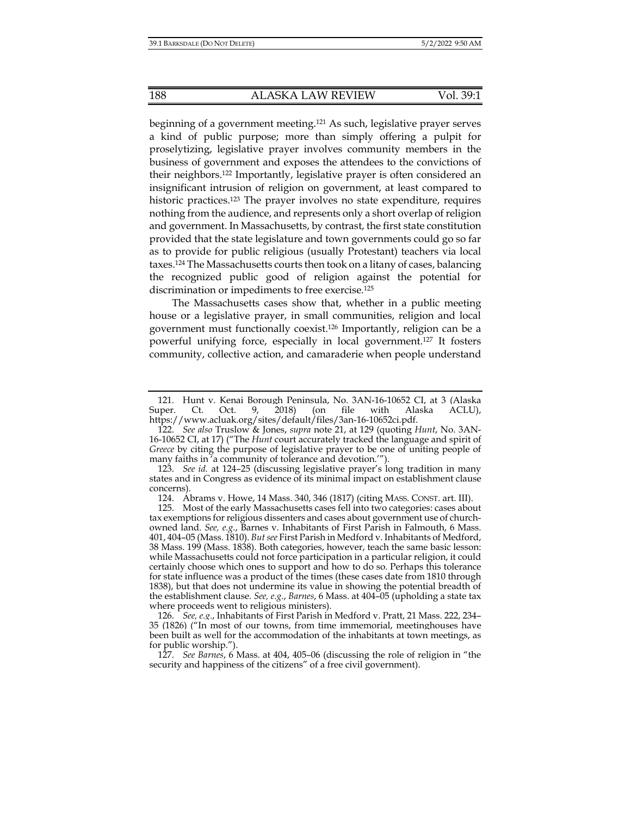beginning of a government meeting.121 As such, legislative prayer serves a kind of public purpose; more than simply offering a pulpit for proselytizing, legislative prayer involves community members in the business of government and exposes the attendees to the convictions of their neighbors.122 Importantly, legislative prayer is often considered an insignificant intrusion of religion on government, at least compared to historic practices.<sup>123</sup> The prayer involves no state expenditure, requires nothing from the audience, and represents only a short overlap of religion and government. In Massachusetts, by contrast, the first state constitution provided that the state legislature and town governments could go so far as to provide for public religious (usually Protestant) teachers via local taxes.124 The Massachusetts courts then took on a litany of cases, balancing the recognized public good of religion against the potential for discrimination or impediments to free exercise.125

The Massachusetts cases show that, whether in a public meeting house or a legislative prayer, in small communities, religion and local government must functionally coexist.126 Importantly, religion can be a powerful unifying force, especially in local government.127 It fosters community, collective action, and camaraderie when people understand

124. Abrams v. Howe, 14 Mass. 340, 346 (1817) (citing MASS. CONST. art. III).

<sup>121.</sup> Hunt v. Kenai Borough Peninsula, No. 3AN-16-10652 CI, at 3 (Alaska<br>1991. Ct. Oct. 9, 2018) (on file with Alaska ACLU). Super. Ct. Oct. 9, 2018) (on file with Alaska ACLU), https://www.acluak.org/sites/default/files/3an-16-10652ci.pdf.

 <sup>122.</sup> *See also* Truslow & Jones, *supra* note 21, at 129 (quoting *Hunt*, No. 3AN-16-10652 CI, at 17) ("The *Hunt* court accurately tracked the language and spirit of *Greece* by citing the purpose of legislative prayer to be one of uniting people of many faiths in <sup>7</sup> acommunity of tolerance and devotion."").

 <sup>123.</sup> *See id.* at 124–25 (discussing legislative prayer's long tradition in many states and in Congress as evidence of its minimal impact on establishment clause concerns).

 <sup>125.</sup> Most of the early Massachusetts cases fell into two categories: cases about tax exemptions for religious dissenters and cases about government use of churchowned land. *See, e.g.*, Barnes v. Inhabitants of First Parish in Falmouth, 6 Mass. 401, 404–05 (Mass. 1810). *But see* First Parish in Medford v. Inhabitants of Medford, 38 Mass. 199 (Mass. 1838). Both categories, however, teach the same basic lesson: while Massachusetts could not force participation in a particular religion, it could certainly choose which ones to support and how to do so. Perhaps this tolerance for state influence was a product of the times (these cases date from 1810 through 1838), but that does not undermine its value in showing the potential breadth of the establishment clause. *See, e.g.*, *Barnes*, 6 Mass. at 404–05 (upholding a state tax where proceeds went to religious ministers).

 <sup>126.</sup> *See, e.g.*, Inhabitants of First Parish in Medford v. Pratt, 21 Mass. 222, 234– 35 (1826) ("In most of our towns, from time immemorial, meetinghouses have been built as well for the accommodation of the inhabitants at town meetings, as for public worship.").

 <sup>127.</sup> *See Barnes*, 6 Mass. at 404, 405–06 (discussing the role of religion in "the security and happiness of the citizens" of a free civil government).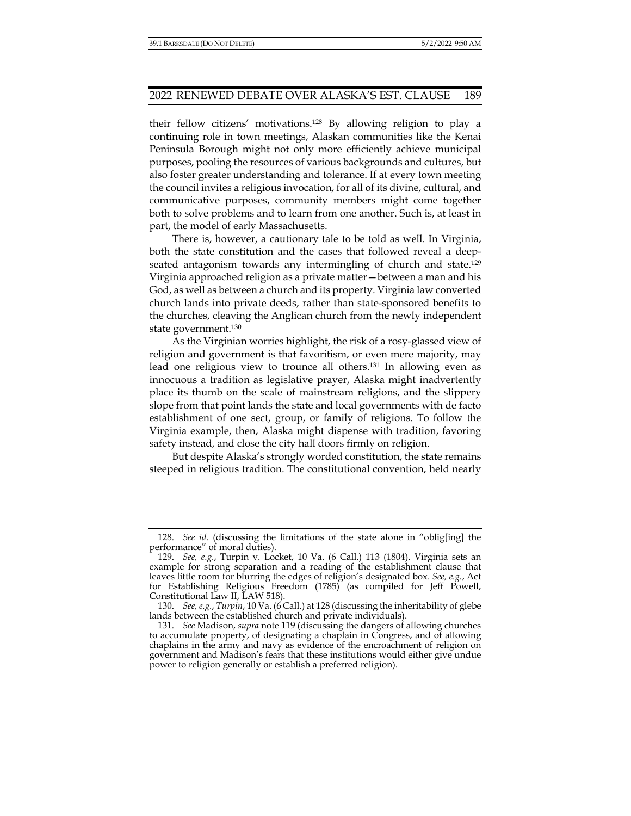their fellow citizens' motivations.128 By allowing religion to play a continuing role in town meetings, Alaskan communities like the Kenai Peninsula Borough might not only more efficiently achieve municipal purposes, pooling the resources of various backgrounds and cultures, but also foster greater understanding and tolerance. If at every town meeting the council invites a religious invocation, for all of its divine, cultural, and communicative purposes, community members might come together both to solve problems and to learn from one another. Such is, at least in part, the model of early Massachusetts.

There is, however, a cautionary tale to be told as well. In Virginia, both the state constitution and the cases that followed reveal a deepseated antagonism towards any intermingling of church and state.129 Virginia approached religion as a private matter—between a man and his God, as well as between a church and its property. Virginia law converted church lands into private deeds, rather than state-sponsored benefits to the churches, cleaving the Anglican church from the newly independent state government.130

As the Virginian worries highlight, the risk of a rosy-glassed view of religion and government is that favoritism, or even mere majority, may lead one religious view to trounce all others.131 In allowing even as innocuous a tradition as legislative prayer, Alaska might inadvertently place its thumb on the scale of mainstream religions, and the slippery slope from that point lands the state and local governments with de facto establishment of one sect, group, or family of religions. To follow the Virginia example, then, Alaska might dispense with tradition, favoring safety instead, and close the city hall doors firmly on religion.

But despite Alaska's strongly worded constitution, the state remains steeped in religious tradition. The constitutional convention, held nearly

 <sup>128.</sup> *See id.* (discussing the limitations of the state alone in "oblig[ing] the performance" of moral duties).

 <sup>129.</sup> *See, e.g.*, Turpin v. Locket, 10 Va. (6 Call.) 113 (1804). Virginia sets an example for strong separation and a reading of the establishment clause that leaves little room for blurring the edges of religion's designated box. *See, e.g.*, Act for Establishing Religious Freedom (1785) (as compiled for Jeff Powell, Constitutional Law II, LAW 518).

 <sup>130.</sup> *See, e.g.*, *Turpin*, 10 Va. (6 Call.) at 128 (discussing the inheritability of glebe lands between the established church and private individuals).

 <sup>131.</sup> *See* Madison, *supra* note 119 (discussing the dangers of allowing churches to accumulate property, of designating a chaplain in Congress, and of allowing chaplains in the army and navy as evidence of the encroachment of religion on government and Madison's fears that these institutions would either give undue power to religion generally or establish a preferred religion).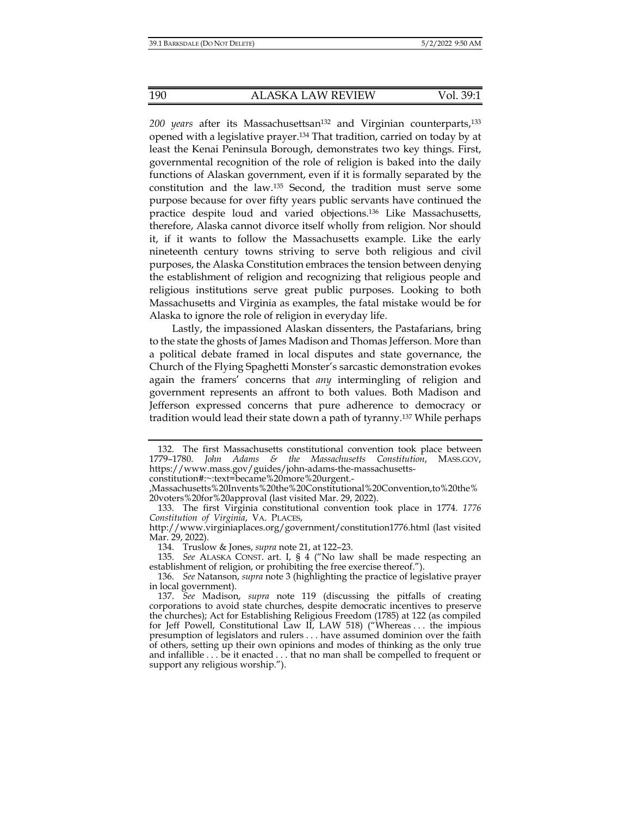200 years after its Massachusettsan<sup>132</sup> and Virginian counterparts,<sup>133</sup> opened with a legislative prayer.134 That tradition, carried on today by at least the Kenai Peninsula Borough, demonstrates two key things. First, governmental recognition of the role of religion is baked into the daily functions of Alaskan government, even if it is formally separated by the constitution and the law.135 Second, the tradition must serve some purpose because for over fifty years public servants have continued the practice despite loud and varied objections.136 Like Massachusetts, therefore, Alaska cannot divorce itself wholly from religion. Nor should it, if it wants to follow the Massachusetts example. Like the early nineteenth century towns striving to serve both religious and civil purposes, the Alaska Constitution embraces the tension between denying the establishment of religion and recognizing that religious people and religious institutions serve great public purposes. Looking to both Massachusetts and Virginia as examples, the fatal mistake would be for Alaska to ignore the role of religion in everyday life.

Lastly, the impassioned Alaskan dissenters, the Pastafarians, bring to the state the ghosts of James Madison and Thomas Jefferson. More than a political debate framed in local disputes and state governance, the Church of the Flying Spaghetti Monster's sarcastic demonstration evokes again the framers' concerns that *any* intermingling of religion and government represents an affront to both values. Both Madison and Jefferson expressed concerns that pure adherence to democracy or tradition would lead their state down a path of tyranny.137 While perhaps

constitution#:~:text=became%20more%20urgent.-

 <sup>132.</sup> The first Massachusetts constitutional convention took place between 1779–1780. *John Adams & the Massachusetts Constitution*, MASS.GOV, https://www.mass.gov/guides/john-adams-the-massachusetts-

<sup>,</sup>Massachusetts%20Invents%20the%20Constitutional%20Convention,to%20the% 20voters%20for%20approval (last visited Mar. 29, 2022).

 <sup>133.</sup> The first Virginia constitutional convention took place in 1774. *1776 Constitution of Virginia*, VA. PLACES,

http://www.virginiaplaces.org/government/constitution1776.html (last visited Mar. 29, 2022).

 <sup>134.</sup> Truslow & Jones, *supra* note 21, at 122–23.

 <sup>135.</sup> *See* ALASKA CONST. art. I, § 4 ("No law shall be made respecting an establishment of religion, or prohibiting the free exercise thereof.").

 <sup>136.</sup> *See* Natanson, *supra* note 3 (highlighting the practice of legislative prayer in local government).

 <sup>137.</sup> *See* Madison, *supra* note 119 (discussing the pitfalls of creating corporations to avoid state churches, despite democratic incentives to preserve the churches); Act for Establishing Religious Freedom (1785) at 122 (as compiled for Jeff Powell, Constitutional Law II, LAW 518) ("Whereas . . . the impious presumption of legislators and rulers . . . have assumed dominion over the faith of others, setting up their own opinions and modes of thinking as the only true and infallible . . . be it enacted . . . that no man shall be compelled to frequent or support any religious worship.").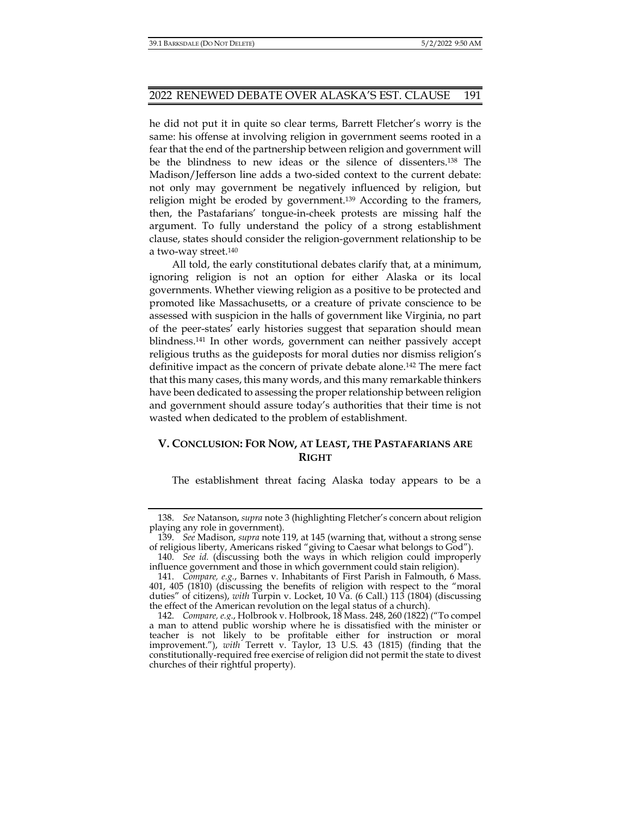he did not put it in quite so clear terms, Barrett Fletcher's worry is the same: his offense at involving religion in government seems rooted in a fear that the end of the partnership between religion and government will be the blindness to new ideas or the silence of dissenters.138 The Madison/Jefferson line adds a two-sided context to the current debate: not only may government be negatively influenced by religion, but religion might be eroded by government.<sup>139</sup> According to the framers, then, the Pastafarians' tongue-in-cheek protests are missing half the argument. To fully understand the policy of a strong establishment clause, states should consider the religion-government relationship to be a two-way street.140

All told, the early constitutional debates clarify that, at a minimum, ignoring religion is not an option for either Alaska or its local governments. Whether viewing religion as a positive to be protected and promoted like Massachusetts, or a creature of private conscience to be assessed with suspicion in the halls of government like Virginia, no part of the peer-states' early histories suggest that separation should mean blindness.141 In other words, government can neither passively accept religious truths as the guideposts for moral duties nor dismiss religion's definitive impact as the concern of private debate alone.142 The mere fact that this many cases, this many words, and this many remarkable thinkers have been dedicated to assessing the proper relationship between religion and government should assure today's authorities that their time is not wasted when dedicated to the problem of establishment.

## **V. CONCLUSION: FOR NOW, AT LEAST, THE PASTAFARIANS ARE RIGHT**

The establishment threat facing Alaska today appears to be a

 <sup>138.</sup> *See* Natanson, *supra* note 3 (highlighting Fletcher's concern about religion playing any role in government).

 <sup>139.</sup> *See* Madison, *supra* note 119, at 145 (warning that, without a strong sense of religious liberty, Americans risked "giving to Caesar what belongs to God").

 <sup>140.</sup> *See id.* (discussing both the ways in which religion could improperly influence government and those in which government could stain religion).

 <sup>141.</sup> *Compare, e.g.*, Barnes v. Inhabitants of First Parish in Falmouth, 6 Mass. 401, 405 (1810) (discussing the benefits of religion with respect to the "moral duties" of citizens), *with* Turpin v. Locket, 10 Va. (6 Call.) 113 (1804) (discussing the effect of the American revolution on the legal status of a church).

 <sup>142.</sup> *Compare, e.g.*, Holbrook v. Holbrook, 18 Mass. 248, 260 (1822) ("To compel a man to attend public worship where he is dissatisfied with the minister or teacher is not likely to be profitable either for instruction or moral improvement."), *with* Terrett v. Taylor, 13 U.S. 43 (1815) (finding that the constitutionally-required free exercise of religion did not permit the state to divest churches of their rightful property).